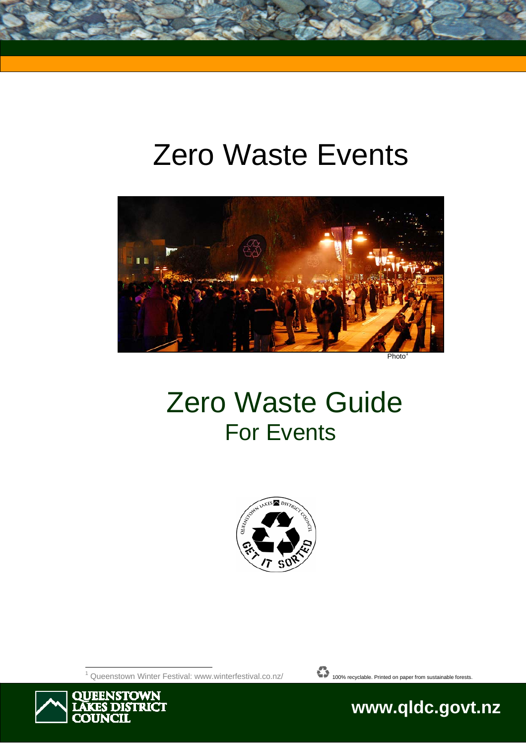# Zero Waste Events



Photo

# Zero Waste Guide For Events



 $\overline{a}$ 1



Ĩ



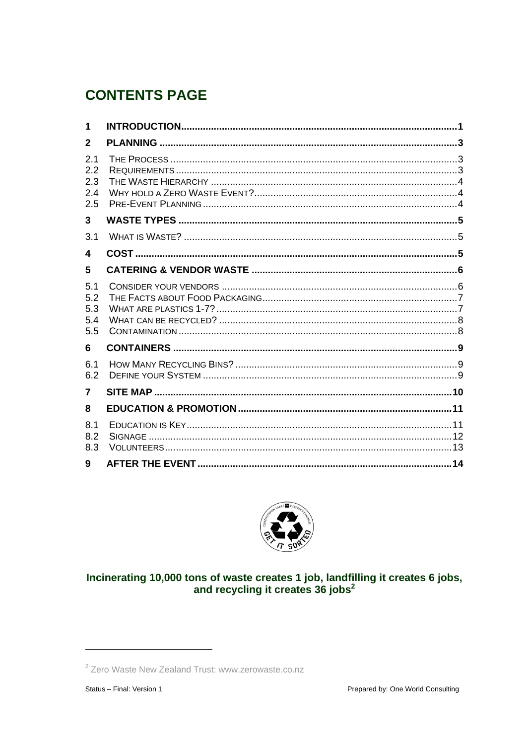# **CONTENTS PAGE**

| 1                               |  |
|---------------------------------|--|
| $\mathbf{2}$                    |  |
| 2.1<br>2.2<br>2.3<br>2.4<br>2.5 |  |
| $\mathbf{3}$                    |  |
| 3.1                             |  |
| $\overline{\mathbf{4}}$         |  |
| 5                               |  |
| 5.1<br>5.2<br>5.3<br>5.4<br>5.5 |  |
| 6                               |  |
| 6.1<br>6.2                      |  |
| $\overline{7}$                  |  |
| 8                               |  |
| 8.1<br>8.2<br>8.3               |  |
| 9                               |  |



# Incinerating 10,000 tons of waste creates 1 job, landfilling it creates 6 jobs,<br>and recycling it creates 36 jobs<sup>2</sup>

<sup>&</sup>lt;sup>2</sup> Zero Waste New Zealand Trust: www.zerowaste.co.nz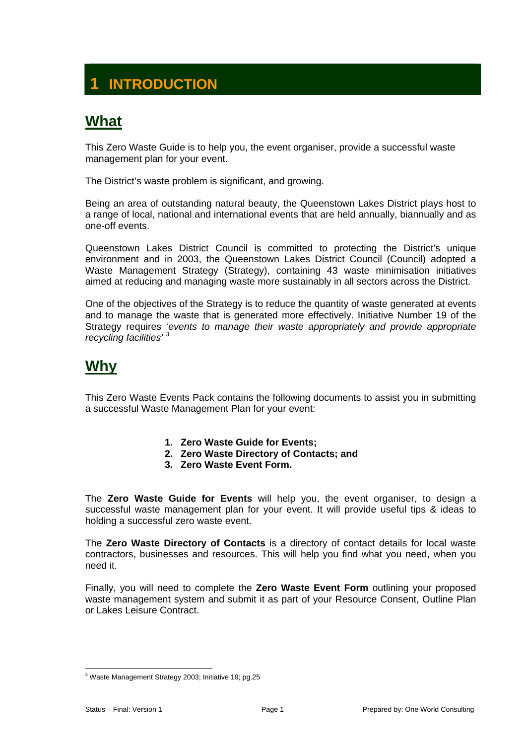# **INTRODUCTION**

# **What**

This Zero Waste Guide is to help you, the event organiser, provide a successful waste management plan for your event.

The District's waste problem is significant, and growing.

Being an area of outstanding natural beauty, the Queenstown Lakes District plays host to a range of local, national and international events that are held annually, biannually and as one-off events.

Queenstown Lakes District Council is committed to protecting the District's unique environment and in 2003, the Queenstown Lakes District Council (Council) adopted a Waste Management Strategy (Strategy), containing 43 waste minimisation initiatives aimed at reducing and managing waste more sustainably in all sectors across the District.

One of the objectives of the Strategy is to reduce the quantity of waste generated at events and to manage the waste that is generated more effectively. Initiative Number 19 of the Strategy requires '*events to manage their waste appropriately and provide appropriate recycling facilities' <sup>3</sup>*

# **Why**

This Zero Waste Events Pack contains the following documents to assist you in submitting a successful Waste Management Plan for your event:

- **1. Zero Waste Guide for Events;**
- **2. Zero Waste Directory of Contacts; and**
- **3. Zero Waste Event Form.**

The **Zero Waste Guide for Events** will help you, the event organiser, to design a successful waste management plan for your event. It will provide useful tips & ideas to holding a successful zero waste event.

The **Zero Waste Directory of Contacts** is a directory of contact details for local waste contractors, businesses and resources. This will help you find what you need, when you need it.

Finally, you will need to complete the **Zero Waste Event Form** outlining your proposed waste management system and submit it as part of your Resource Consent, Outline Plan or Lakes Leisure Contract.

 $\overline{a}$ <sup>3</sup> Waste Management Strategy 2003; Initiative 19; pg.25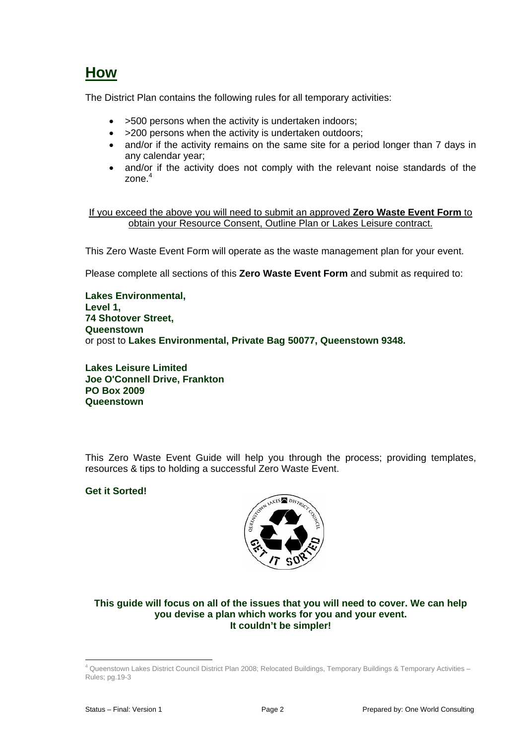# **How**

The District Plan contains the following rules for all temporary activities:

- >500 persons when the activity is undertaken indoors;
- > 200 persons when the activity is undertaken outdoors;
- and/or if the activity remains on the same site for a period longer than 7 days in any calendar year;
- and/or if the activity does not comply with the relevant noise standards of the zone.<sup>4</sup>

If you exceed the above you will need to submit an approved **Zero Waste Event Form** to obtain your Resource Consent, Outline Plan or Lakes Leisure contract.

This Zero Waste Event Form will operate as the waste management plan for your event.

Please complete all sections of this **Zero Waste Event Form** and submit as required to:

**Lakes Environmental, Level 1, 74 Shotover Street, Queenstown** or post to **Lakes Environmental, Private Bag 50077, Queenstown 9348.** 

**Lakes Leisure Limited Joe O'Connell Drive, Frankton PO Box 2009 Queenstown** 

This Zero Waste Event Guide will help you through the process; providing templates, resources & tips to holding a successful Zero Waste Event.

#### **Get it Sorted!**



#### **This guide will focus on all of the issues that you will need to cover. We can help you devise a plan which works for you and your event. It couldn't be simpler!**

 $\overline{a}$ 

<sup>4</sup> Queenstown Lakes District Council District Plan 2008; Relocated Buildings, Temporary Buildings & Temporary Activities – Rules; pg.19-3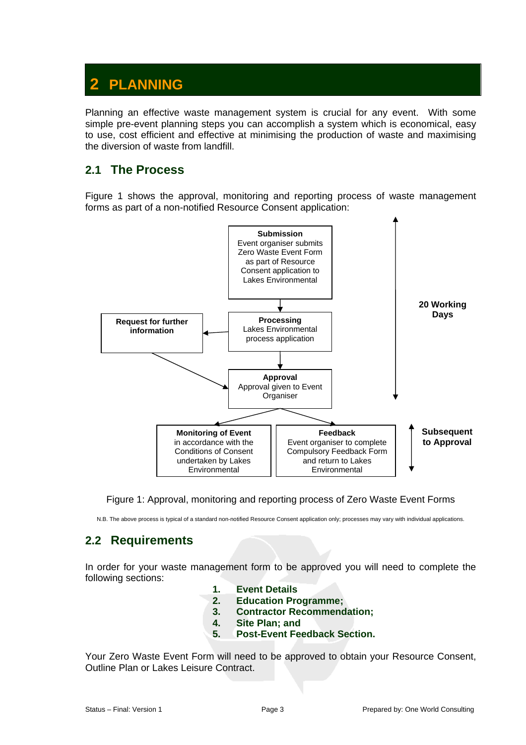# **2 PLANNING**

Planning an effective waste management system is crucial for any event. With some simple pre-event planning steps you can accomplish a system which is economical, easy to use, cost efficient and effective at minimising the production of waste and maximising the diversion of waste from landfill.

### **2.1 The Process**

Figure 1 shows the approval, monitoring and reporting process of waste management forms as part of a non-notified Resource Consent application:



Figure 1: Approval, monitoring and reporting process of Zero Waste Event Forms

N.B. The above process is typical of a standard non-notified Resource Consent application only; processes may vary with individual applications.

### **2.2 Requirements**

In order for your waste management form to be approved you will need to complete the following sections:

- **1. Event Details**
- **2. Education Programme;** 
	- **3. Contractor Recommendation;**
	- **4. Site Plan; and**
- **5. Post-Event Feedback Section.**

Your Zero Waste Event Form will need to be approved to obtain your Resource Consent, Outline Plan or Lakes Leisure Contract.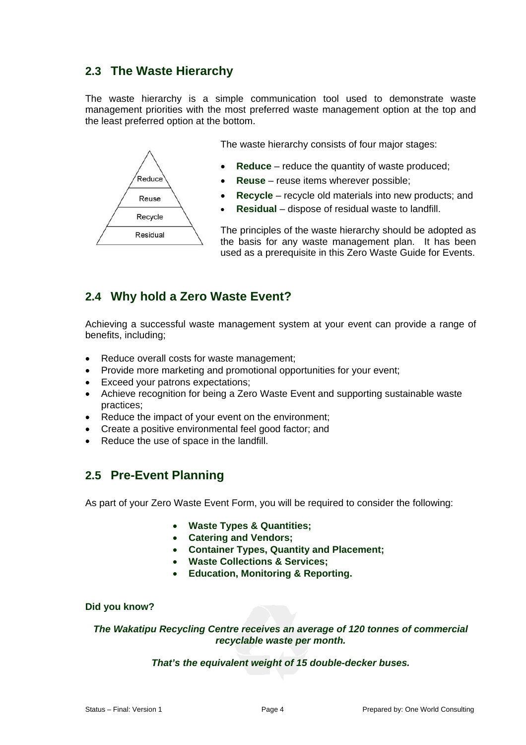# **2.3 The Waste Hierarchy**

The waste hierarchy is a simple communication tool used to demonstrate waste management priorities with the most preferred waste management option at the top and the least preferred option at the bottom.



# **2.4 Why hold a Zero Waste Event?**

Achieving a successful waste management system at your event can provide a range of benefits, including;

- Reduce overall costs for waste management;
- Provide more marketing and promotional opportunities for your event;
- Exceed your patrons expectations;
- Achieve recognition for being a Zero Waste Event and supporting sustainable waste practices;
- Reduce the impact of your event on the environment;
- Create a positive environmental feel good factor; and
- Reduce the use of space in the landfill.

### **2.5 Pre-Event Planning**

As part of your Zero Waste Event Form, you will be required to consider the following:

- **Waste Types & Quantities;**
- **Catering and Vendors;**
- **Container Types, Quantity and Placement;**
- **Waste Collections & Services;**
- **Education, Monitoring & Reporting.**

#### **Did you know?**

*The Wakatipu Recycling Centre receives an average of 120 tonnes of commercial recyclable waste per month.* 

#### *That's the equivalent weight of 15 double-decker buses.*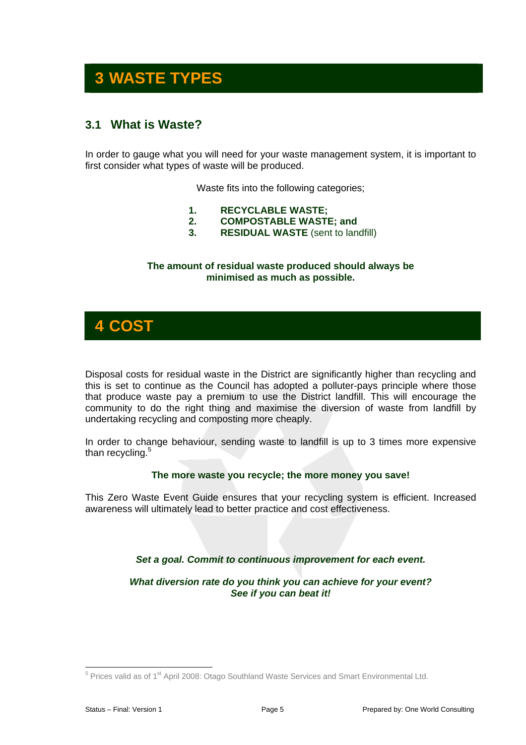# **3 WASTE TYPES**

# **3.1 What is Waste?**

In order to gauge what you will need for your waste management system, it is important to first consider what types of waste will be produced.

Waste fits into the following categories;

- **1. RECYCLABLE WASTE;**
- **2. COMPOSTABLE WASTE; and**
- **3. RESIDUAL WASTE** (sent to landfill)

#### **The amount of residual waste produced should always be minimised as much as possible.**



Disposal costs for residual waste in the District are significantly higher than recycling and this is set to continue as the Council has adopted a polluter-pays principle where those that produce waste pay a premium to use the District landfill. This will encourage the community to do the right thing and maximise the diversion of waste from landfill by undertaking recycling and composting more cheaply.

In order to change behaviour, sending waste to landfill is up to 3 times more expensive than recycling.<sup>5</sup>

#### **The more waste you recycle; the more money you save!**

This Zero Waste Event Guide ensures that your recycling system is efficient. Increased awareness will ultimately lead to better practice and cost effectiveness.

#### *Set a goal. Commit to continuous improvement for each event.*

*What diversion rate do you think you can achieve for your event? See if you can beat it!* 

 $\overline{a}$  $5$  Prices valid as of 1<sup>st</sup> April 2008: Otago Southland Waste Services and Smart Environmental Ltd.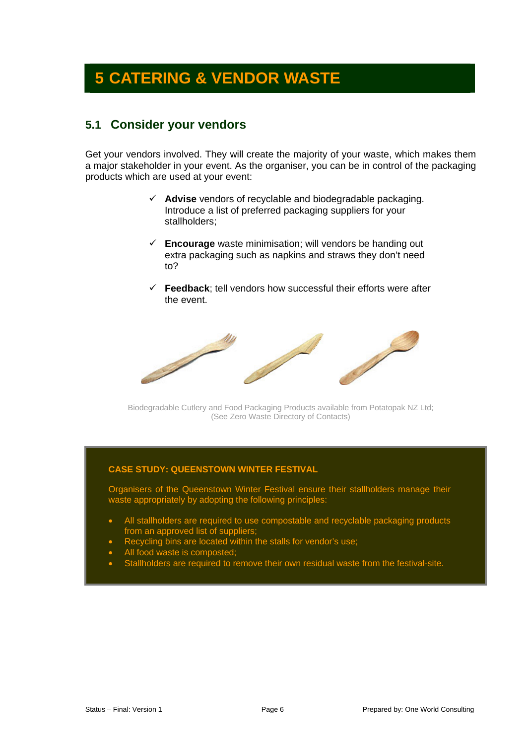# **5 CATERING & VENDOR WASTE**

### **5.1 Consider your vendors**

Get your vendors involved. They will create the majority of your waste, which makes them a major stakeholder in your event. As the organiser, you can be in control of the packaging products which are used at your event:

- $\checkmark$  **Advise** vendors of recyclable and biodegradable packaging. Introduce a list of preferred packaging suppliers for your stallholders;
- $\checkmark$  **Encourage** waste minimisation; will vendors be handing out extra packaging such as napkins and straws they don't need to?
- $\checkmark$  **Feedback**; tell vendors how successful their efforts were after the event.



Biodegradable Cutlery and Food Packaging Products available from Potatopak NZ Ltd; (See Zero Waste Directory of Contacts)

#### **CASE STUDY: QUEENSTOWN WINTER FESTIVAL**

Organisers of the Queenstown Winter Festival ensure their stallholders manage their waste appropriately by adopting the following principles:

- All stallholders are required to use compostable and recyclable packaging products from an approved list of suppliers;
- Recycling bins are located within the stalls for vendor's use;
- All food waste is composted;
- Stallholders are required to remove their own residual waste from the festival-site.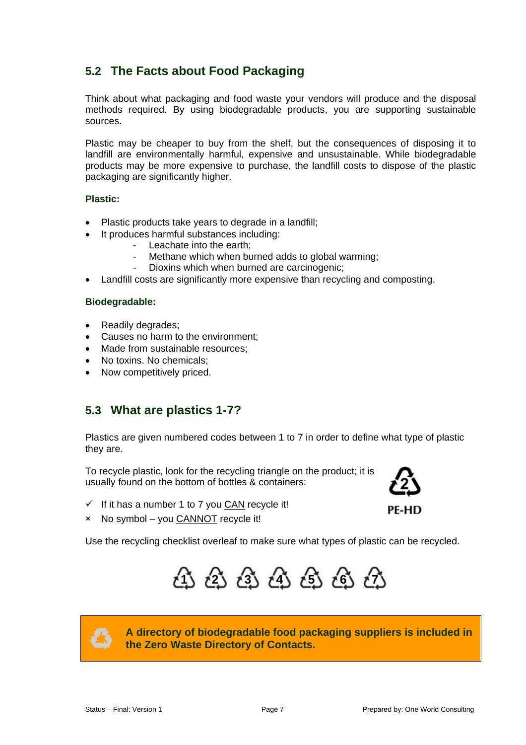# **5.2 The Facts about Food Packaging**

Think about what packaging and food waste your vendors will produce and the disposal methods required. By using biodegradable products, you are supporting sustainable sources.

Plastic may be cheaper to buy from the shelf, but the consequences of disposing it to landfill are environmentally harmful, expensive and unsustainable. While biodegradable products may be more expensive to purchase, the landfill costs to dispose of the plastic packaging are significantly higher.

#### **Plastic:**

- Plastic products take years to degrade in a landfill;
- It produces harmful substances including:
	- Leachate into the earth;
	- Methane which when burned adds to global warming;
	- Dioxins which when burned are carcinogenic;
- Landfill costs are significantly more expensive than recycling and composting.

#### **Biodegradable:**

- Readily degrades;
- Causes no harm to the environment;
- Made from sustainable resources;
- No toxins. No chemicals:
- Now competitively priced.

### **5.3 What are plastics 1-7?**

Plastics are given numbered codes between 1 to 7 in order to define what type of plastic they are.

To recycle plastic, look for the recycling triangle on the product; it is usually found on the bottom of bottles & containers:



 $\checkmark$  If it has a number 1 to 7 you CAN recycle it!

PF-HD

× No symbol – you CANNOT recycle it!

Use the recycling checklist overleaf to make sure what types of plastic can be recycled.





**A directory of biodegradable food packaging suppliers is included in the Zero Waste Directory of Contacts.**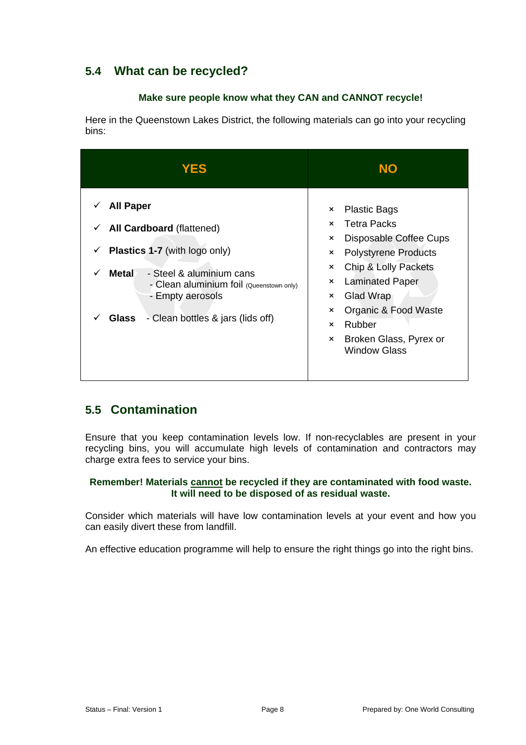# **5.4 What can be recycled?**

#### **Make sure people know what they CAN and CANNOT recycle!**

Here in the Queenstown Lakes District, the following materials can go into your recycling bins:

| <b>YES</b>                                                                                                                                                                                                                                                     | <b>NO</b>                                                                                                                                                                                                                                                                                                                                                      |
|----------------------------------------------------------------------------------------------------------------------------------------------------------------------------------------------------------------------------------------------------------------|----------------------------------------------------------------------------------------------------------------------------------------------------------------------------------------------------------------------------------------------------------------------------------------------------------------------------------------------------------------|
| <b>All Paper</b><br>v<br>All Cardboard (flattened)<br>✓<br><b>Plastics 1-7</b> (with logo only)<br>✓<br><b>Metal</b><br>- Steel & aluminium cans<br>- Clean aluminium foil (Queenstown only)<br>- Empty aerosols<br>- Clean bottles & jars (lids off)<br>Glass | <b>Plastic Bags</b><br>$\times$<br><b>Tetra Packs</b><br>$\times$<br>Disposable Coffee Cups<br>×<br><b>Polystyrene Products</b><br>×<br>Chip & Lolly Packets<br>×<br><b>Laminated Paper</b><br>×<br>Glad Wrap<br>×<br>Organic & Food Waste<br>$\boldsymbol{\mathsf{x}}$<br>Rubber<br>$\mathsf{x}$<br>Broken Glass, Pyrex or<br>$\times$<br><b>Window Glass</b> |

# **5.5 Contamination**

Ensure that you keep contamination levels low. If non-recyclables are present in your recycling bins, you will accumulate high levels of contamination and contractors may charge extra fees to service your bins.

#### **Remember! Materials cannot be recycled if they are contaminated with food waste. It will need to be disposed of as residual waste.**

Consider which materials will have low contamination levels at your event and how you can easily divert these from landfill.

An effective education programme will help to ensure the right things go into the right bins.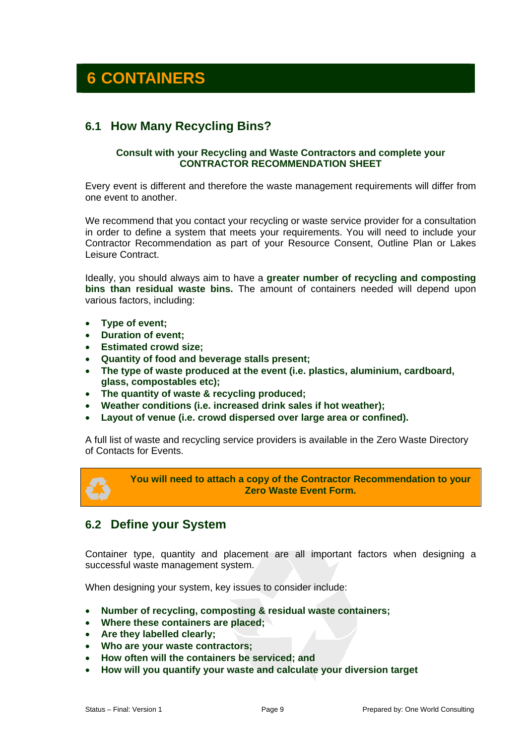# **6 CONTAINERS**

### **6.1 How Many Recycling Bins?**

#### **Consult with your Recycling and Waste Contractors and complete your CONTRACTOR RECOMMENDATION SHEET**

Every event is different and therefore the waste management requirements will differ from one event to another.

We recommend that you contact your recycling or waste service provider for a consultation in order to define a system that meets your requirements. You will need to include your Contractor Recommendation as part of your Resource Consent, Outline Plan or Lakes Leisure Contract.

Ideally, you should always aim to have a **greater number of recycling and composting bins than residual waste bins.** The amount of containers needed will depend upon various factors, including:

- **Type of event;**
- **Duration of event;**
- **Estimated crowd size;**
- **Quantity of food and beverage stalls present;**
- **The type of waste produced at the event (i.e. plastics, aluminium, cardboard, glass, compostables etc);**
- **The quantity of waste & recycling produced;**
- **Weather conditions (i.e. increased drink sales if hot weather);**
- **Layout of venue (i.e. crowd dispersed over large area or confined).**

A full list of waste and recycling service providers is available in the Zero Waste Directory of Contacts for Events.

**You will need to attach a copy of the Contractor Recommendation to your Zero Waste Event Form.** 

### **6.2 Define your System**

Container type, quantity and placement are all important factors when designing a successful waste management system.

When designing your system, key issues to consider include:

- **Number of recycling, composting & residual waste containers;**
- **Where these containers are placed;**
- **Are they labelled clearly;**
- **Who are your waste contractors;**
- **How often will the containers be serviced; and**
- **How will you quantify your waste and calculate your diversion target**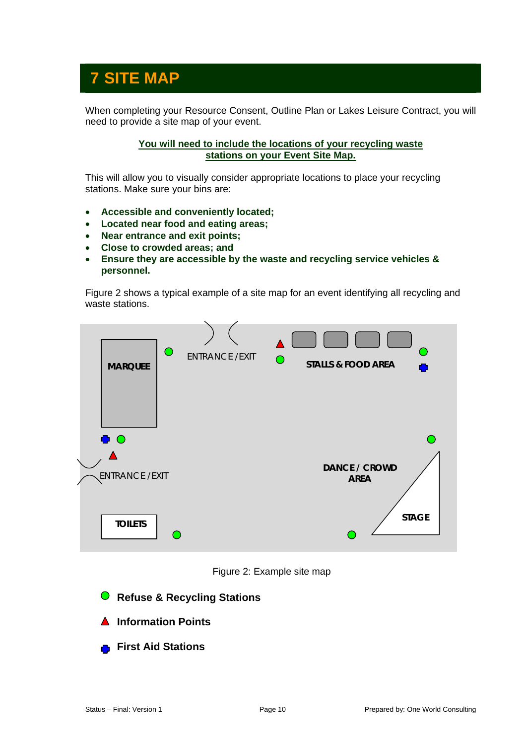# **7 SITE MAP**

When completing your Resource Consent, Outline Plan or Lakes Leisure Contract, you will need to provide a site map of your event.

#### **You will need to include the locations of your recycling waste stations on your Event Site Map.**

This will allow you to visually consider appropriate locations to place your recycling stations. Make sure your bins are:

- **Accessible and conveniently located;**
- **Located near food and eating areas;**
- **Near entrance and exit points;**
- **Close to crowded areas; and**
- **Ensure they are accessible by the waste and recycling service vehicles & personnel.**

Figure 2 shows a typical example of a site map for an event identifying all recycling and waste stations.



Figure 2: Example site map

- **Refuse & Recycling Stations**
- **Information Points**
- **First Aid Stations**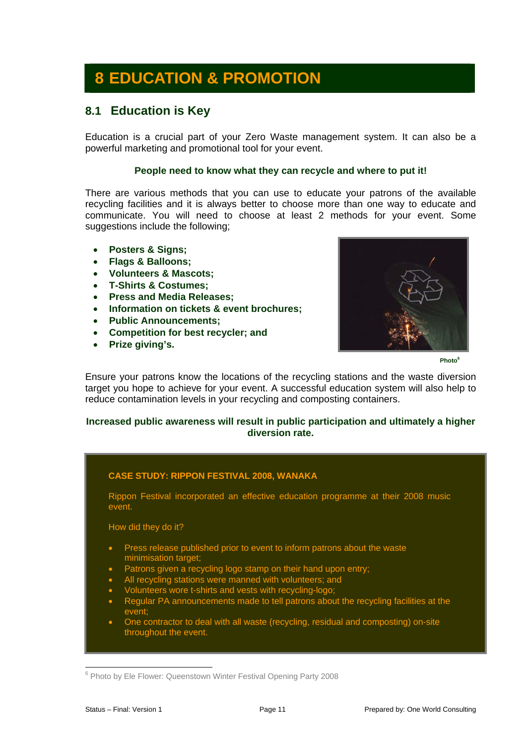# **8 EDUCATION & PROMOTION**

### **8.1 Education is Key**

Education is a crucial part of your Zero Waste management system. It can also be a powerful marketing and promotional tool for your event.

#### **People need to know what they can recycle and where to put it!**

There are various methods that you can use to educate your patrons of the available recycling facilities and it is always better to choose more than one way to educate and communicate. You will need to choose at least 2 methods for your event. Some suggestions include the following;

- **Posters & Signs;**
- **Flags & Balloons;**
- **Volunteers & Mascots;**
- **T-Shirts & Costumes;**
- **Press and Media Releases;**
- **Information on tickets & event brochures;**
- **Public Announcements;**
- **Competition for best recycler; and**
- **Prize giving's.**



**Photo6**

Ensure your patrons know the locations of the recycling stations and the waste diversion target you hope to achieve for your event. A successful education system will also help to reduce contamination levels in your recycling and composting containers.

#### **Increased public awareness will result in public participation and ultimately a higher diversion rate.**

#### **CASE STUDY: RIPPON FESTIVAL 2008, WANAKA**

Rippon Festival incorporated an effective education programme at their 2008 music event.

How did they do it?

- Press release published prior to event to inform patrons about the waste minimisation target;
- Patrons given a recycling logo stamp on their hand upon entry;
- All recycling stations were manned with volunteers; and
- Volunteers wore t-shirts and vests with recycling-logo;
- Regular PA announcements made to tell patrons about the recycling facilities at the event;
- One contractor to deal with all waste (recycling, residual and composting) on-site throughout the event.

 $\overline{a}$ <sup>6</sup> Photo by Ele Flower: Queenstown Winter Festival Opening Party 2008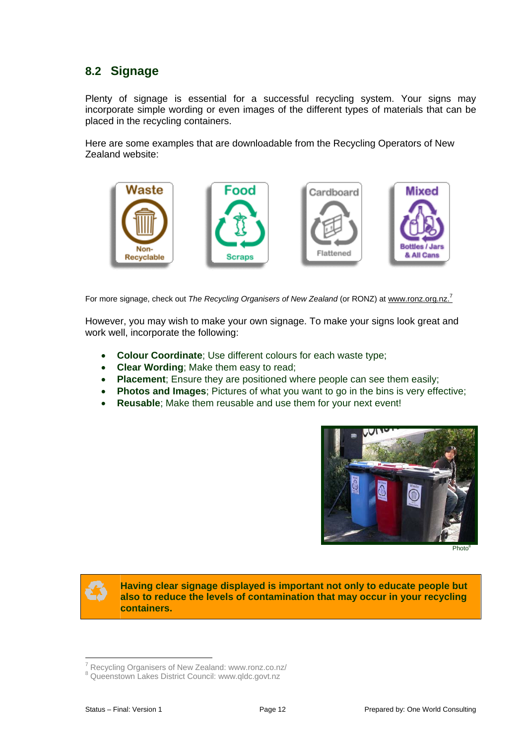# **8.2 Signage**

Plenty of signage is essential for a successful recycling system. Your signs may incorporate simple wording or even images of the different types of materials that can be placed in the recycling containers.

Here are some examples that are downloadable from the Recycling Operators of New Zealand website:



For more signage, check out *The Recycling Organisers of New Zealand* (or RONZ) at www.ronz.org.nz.<sup>7</sup>

However, you may wish to make your own signage. To make your signs look great and work well, incorporate the following:

- **Colour Coordinate**; Use different colours for each waste type;
- **Clear Wording**; Make them easy to read;
- **Placement**; Ensure they are positioned where people can see them easily;
- **Photos and Images**; Pictures of what you want to go in the bins is very effective;
- **Reusable**; Make them reusable and use them for your next event!



Photo<sup>8</sup>



 $\overline{a}$ 

**Having clear signage displayed is important not only to educate people but also to reduce the levels of contamination that may occur in your recycling containers.** 

<sup>&</sup>lt;sup>7</sup> Recycling Organisers of New Zealand: www.ronz.co.nz/<br><sup>8</sup> Queenstaure Lakes District Council: www.glde.govt.pz

<sup>&</sup>lt;sup>8</sup> Queenstown Lakes District Council: www.qldc.govt.nz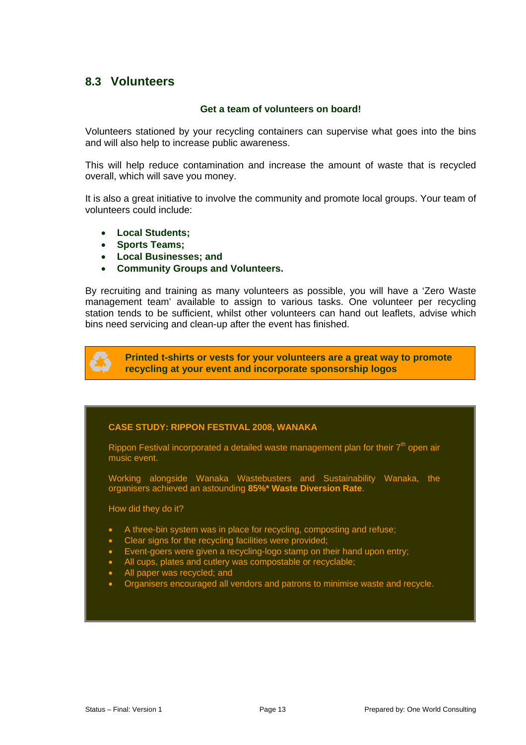### **8.3 Volunteers**

#### **Get a team of volunteers on board!**

Volunteers stationed by your recycling containers can supervise what goes into the bins and will also help to increase public awareness.

This will help reduce contamination and increase the amount of waste that is recycled overall, which will save you money.

It is also a great initiative to involve the community and promote local groups. Your team of volunteers could include:

- **Local Students;**
- **Sports Teams;**
- **Local Businesses; and**
- **Community Groups and Volunteers.**

By recruiting and training as many volunteers as possible, you will have a 'Zero Waste management team' available to assign to various tasks. One volunteer per recycling station tends to be sufficient, whilst other volunteers can hand out leaflets, advise which bins need servicing and clean-up after the event has finished.

**Printed t-shirts or vests for your volunteers are a great way to promote recycling at your event and incorporate sponsorship logos** 

#### **CASE STUDY: RIPPON FESTIVAL 2008, WANAKA**

Rippon Festival incorporated a detailed waste management plan for their  $7<sup>th</sup>$  open air music event.

Working alongside Wanaka Wastebusters and Sustainability Wanaka, the organisers achieved an astounding **85%\* Waste Diversion Rate**.

How did they do it?

- A three-bin system was in place for recycling, composting and refuse;
- Clear signs for the recycling facilities were provided;
- Event-goers were given a recycling-logo stamp on their hand upon entry;
- All cups, plates and cutlery was compostable or recyclable;
- All paper was recycled; and
- Organisers encouraged all vendors and patrons to minimise waste and recycle.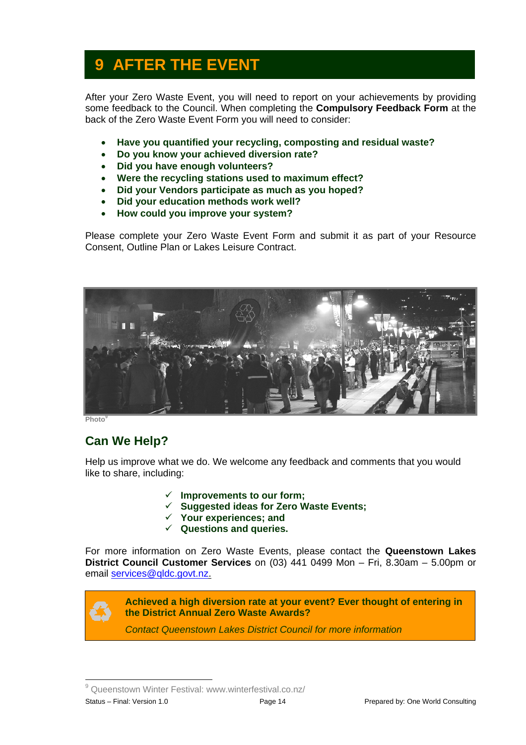# **9 AFTER THE EVENT**

After your Zero Waste Event, you will need to report on your achievements by providing some feedback to the Council. When completing the **Compulsory Feedback Form** at the back of the Zero Waste Event Form you will need to consider:

- **Have you quantified your recycling, composting and residual waste?**
- **Do you know your achieved diversion rate?**
- **Did you have enough volunteers?**
- **Were the recycling stations used to maximum effect?**
- **Did your Vendors participate as much as you hoped?**
- **Did your education methods work well?**
- **How could you improve your system?**

Please complete your Zero Waste Event Form and submit it as part of your Resource Consent, Outline Plan or Lakes Leisure Contract.



**Photo** 

# **Can We Help?**

Help us improve what we do. We welcome any feedback and comments that you would like to share, including:

- 9 **Improvements to our form;**
- 9 **Suggested ideas for Zero Waste Events;**
- 9 **Your experiences; and**
- 9 **Questions and queries.**

For more information on Zero Waste Events, please contact the **Queenstown Lakes District Council Customer Services** on (03) 441 0499 Mon – Fri, 8.30am – 5.00pm or email services@qldc.govt.nz.



 $\overline{a}$ 

**Achieved a high diversion rate at your event? Ever thought of entering in the District Annual Zero Waste Awards?** 

*Contact Queenstown Lakes District Council for more information*

Status – Final: Version 1.0 Page 14 Prepared by: One World Consulting <sup>9</sup> Queenstown Winter Festival: www.winterfestival.co.nz/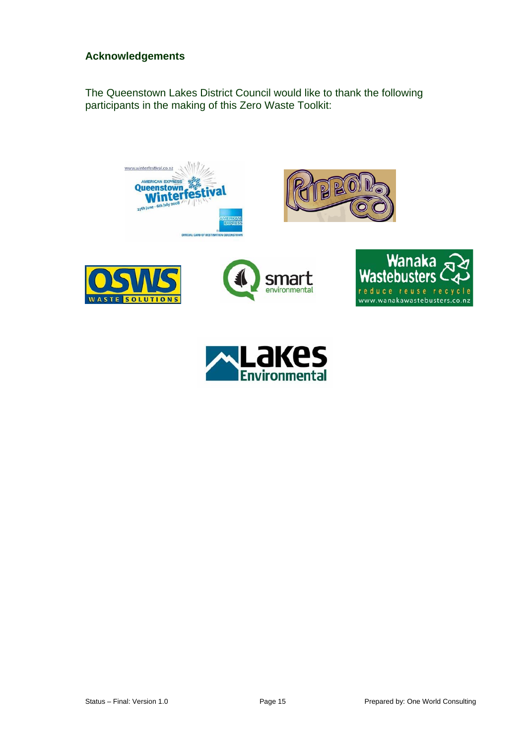### **Acknowledgements**

The Queenstown Lakes District Council would like to thank the following participants in the making of this Zero Waste Toolkit: